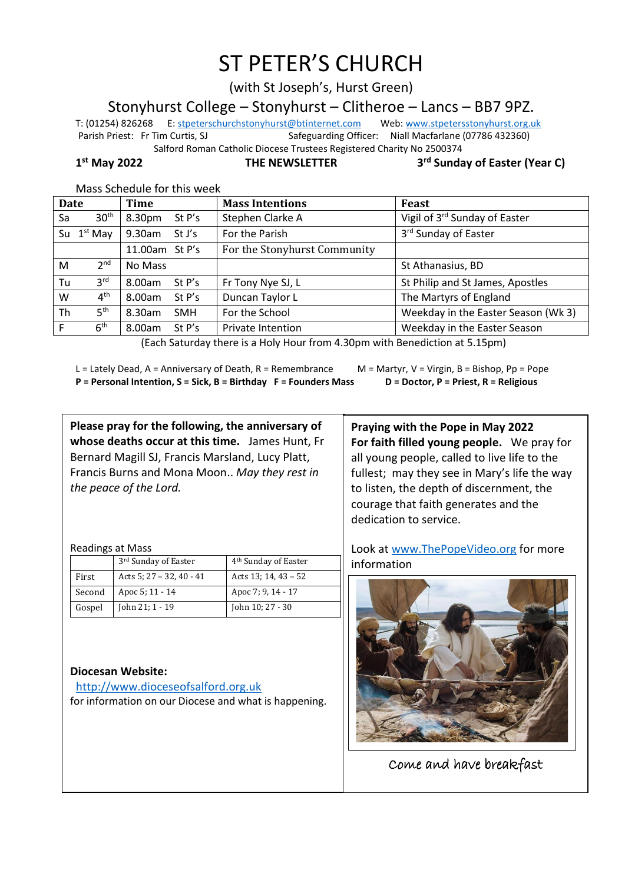# ST PETER'S CHURCH

(with St Joseph's, Hurst Green)

Stonyhurst College – Stonyhurst – Clitheroe – Lancs – BB7 9PZ.

T: (01254) 826268 E[: stpeterschurchstonyhurst@btinternet.com](mailto:stpeterschurchstonyhurst@btinternet.com) Web[: www.stpetersstonyhurst.org.uk](http://www.stpetersstonyhurst.org.uk/) Parish Priest: Fr Tim Curtis, SJ Safeguarding Officer: Niall Macfarlane (07786 432360) Salford Roman Catholic Diocese Trustees Registered Charity No 2500374

1st May 2022

**THE NEWSLETTER** 

**rd Sunday of Easter (Year C)**

| <b>Date</b> |                  | Time           |            | <b>Mass Intentions</b>       | <b>Feast</b>                        |
|-------------|------------------|----------------|------------|------------------------------|-------------------------------------|
| Sa          | 30 <sup>th</sup> | 8.30pm         | St P's     | Stephen Clarke A             | Vigil of 3rd Sunday of Easter       |
|             | Su $1st$ May     | 9.30am         | St J's     | For the Parish               | 3rd Sunday of Easter                |
|             |                  | 11.00am St P's |            | For the Stonyhurst Community |                                     |
| M           | 2 <sup>nd</sup>  | No Mass        |            |                              | St Athanasius, BD                   |
| Tu          | 3 <sup>rd</sup>  | 8.00am         | St P's     | Fr Tony Nye SJ, L            | St Philip and St James, Apostles    |
| W           | 4 <sup>th</sup>  | 8.00am         | St P's     | Duncan Taylor L              | The Martyrs of England              |
| Th          | 5 <sup>th</sup>  | 8.30am         | <b>SMH</b> | For the School               | Weekday in the Easter Season (Wk 3) |
|             | 6 <sup>th</sup>  | 8.00am         | St P's     | <b>Private Intention</b>     | Weekday in the Easter Season        |

Mass Schedule for this week

(Each Saturday there is a Holy Hour from 4.30pm with Benediction at 5.15pm)

L = Lately Dead, A = Anniversary of Death, R = Remembrance M = Martyr, V = Virgin, B = Bishop, Pp = Pope **P = Personal Intention, S = Sick, B = Birthday F = Founders Mass D = Doctor, P = Priest, R = Religious**

**Please pray for the following, the anniversary of whose deaths occur at this time.** James Hunt, Fr Bernard Magill SJ, Francis Marsland, Lucy Platt, Francis Burns and Mona Moon.. *May they rest in the peace of the Lord.*

Readings at Mass

|        | 3rd Sunday of Easter          | 4 <sup>th</sup> Sunday of Easter |
|--------|-------------------------------|----------------------------------|
| First  | Acts 5; $27 - 32$ , $40 - 41$ | Acts 13; 14, $43 - 52$           |
| Second | Apoc 5; 11 - 14               | Apoc 7; 9, 14 - 17               |
| Gospel | John 21; 1 - 19               | John 10; 27 - 30                 |

## **Diocesan Website:**

http://www.dioceseofsalford.org.uk for information on our Diocese and what is happening.

**Praying with the Pope in May 2022 For faith filled young people.** We pray for all young people, called to live life to the fullest; may they see in Mary's life the way to listen, the depth of discernment, the courage that faith generates and the dedication to service.

Look at www.ThePopeVideo.org for more information



Come and have breakfast